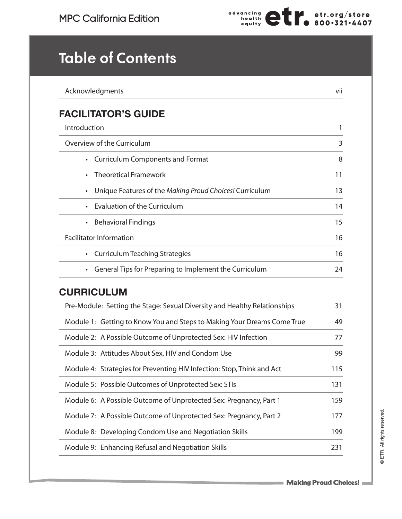

## **Table of Contents**

| Acknowledgments                                                           | vii |
|---------------------------------------------------------------------------|-----|
| <b>FACILITATOR'S GUIDE</b>                                                |     |
| Introduction                                                              | 1   |
| Overview of the Curriculum                                                | 3   |
| <b>Curriculum Components and Format</b>                                   | 8   |
| <b>Theoretical Framework</b>                                              | 11  |
| Unique Features of the Making Proud Choices! Curriculum<br>$\bullet$      | 13  |
| <b>Evaluation of the Curriculum</b>                                       | 14  |
| <b>Behavioral Findings</b><br>$\bullet$                                   | 15  |
| <b>Facilitator Information</b>                                            | 16  |
| <b>Curriculum Teaching Strategies</b><br>$\bullet$                        | 16  |
| General Tips for Preparing to Implement the Curriculum                    | 24  |
| <b>CURRICULUM</b>                                                         |     |
| Pre-Module: Setting the Stage: Sexual Diversity and Healthy Relationships | 31  |
| Module 1: Getting to Know You and Steps to Making Your Dreams Come True   | 49  |
| Module 2: A Possible Outcome of Unprotected Sex: HIV Infection            | 77  |
| Module 3: Attitudes About Sex, HIV and Condom Use                         | 99  |
| Module 4: Strategies for Preventing HIV Infection: Stop, Think and Act    | 115 |
| Module 5: Possible Outcomes of Unprotected Sex: STIs                      | 131 |
| Module 6: A Possible Outcome of Unprotected Sex: Pregnancy, Part 1        | 159 |
| Module 7: A Possible Outcome of Unprotected Sex: Pregnancy, Part 2        | 177 |
| Module 8: Developing Condom Use and Negotiation Skills                    | 199 |
| Module 9: Enhancing Refusal and Negotiation Skills                        | 231 |